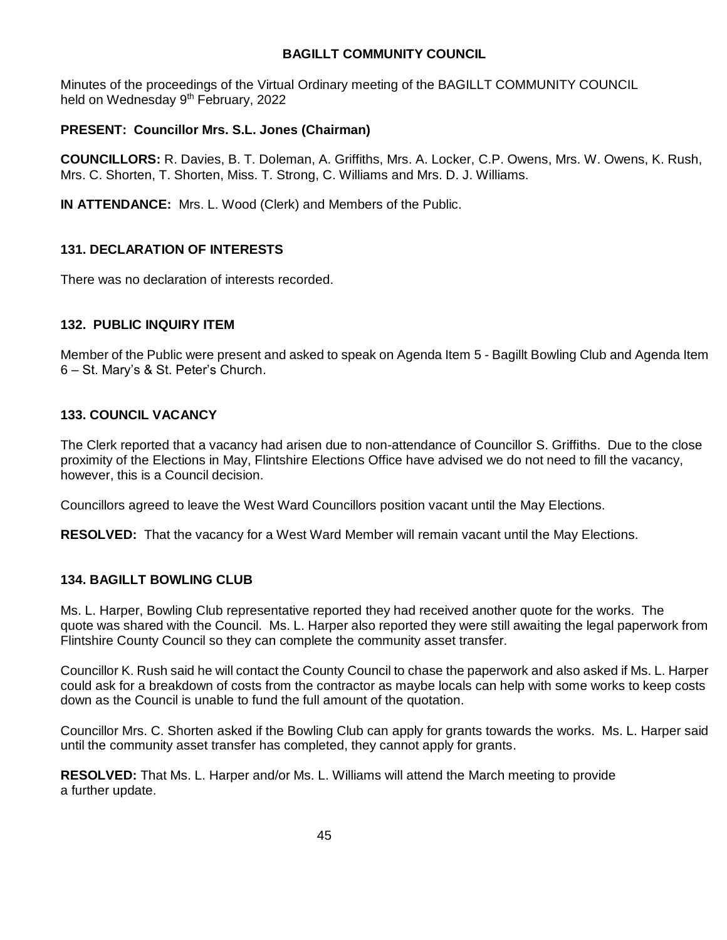## **BAGILLT COMMUNITY COUNCIL**

Minutes of the proceedings of the Virtual Ordinary meeting of the BAGILLT COMMUNITY COUNCIL held on Wednesday 9<sup>th</sup> February, 2022

## **PRESENT: Councillor Mrs. S.L. Jones (Chairman)**

**COUNCILLORS:** R. Davies, B. T. Doleman, A. Griffiths, Mrs. A. Locker, C.P. Owens, Mrs. W. Owens, K. Rush, Mrs. C. Shorten, T. Shorten, Miss. T. Strong, C. Williams and Mrs. D. J. Williams.

**IN ATTENDANCE:** Mrs. L. Wood (Clerk) and Members of the Public.

## **131. DECLARATION OF INTERESTS**

There was no declaration of interests recorded.

#### **132. PUBLIC INQUIRY ITEM**

Member of the Public were present and asked to speak on Agenda Item 5 - Bagillt Bowling Club and Agenda Item 6 – St. Mary's & St. Peter's Church.

#### **133. COUNCIL VACANCY**

The Clerk reported that a vacancy had arisen due to non-attendance of Councillor S. Griffiths. Due to the close proximity of the Elections in May, Flintshire Elections Office have advised we do not need to fill the vacancy, however, this is a Council decision.

Councillors agreed to leave the West Ward Councillors position vacant until the May Elections.

**RESOLVED:** That the vacancy for a West Ward Member will remain vacant until the May Elections.

## **134. BAGILLT BOWLING CLUB**

Ms. L. Harper, Bowling Club representative reported they had received another quote for the works. The quote was shared with the Council. Ms. L. Harper also reported they were still awaiting the legal paperwork from Flintshire County Council so they can complete the community asset transfer.

Councillor K. Rush said he will contact the County Council to chase the paperwork and also asked if Ms. L. Harper could ask for a breakdown of costs from the contractor as maybe locals can help with some works to keep costs down as the Council is unable to fund the full amount of the quotation.

Councillor Mrs. C. Shorten asked if the Bowling Club can apply for grants towards the works. Ms. L. Harper said until the community asset transfer has completed, they cannot apply for grants.

**RESOLVED:** That Ms. L. Harper and/or Ms. L. Williams will attend the March meeting to provide a further update.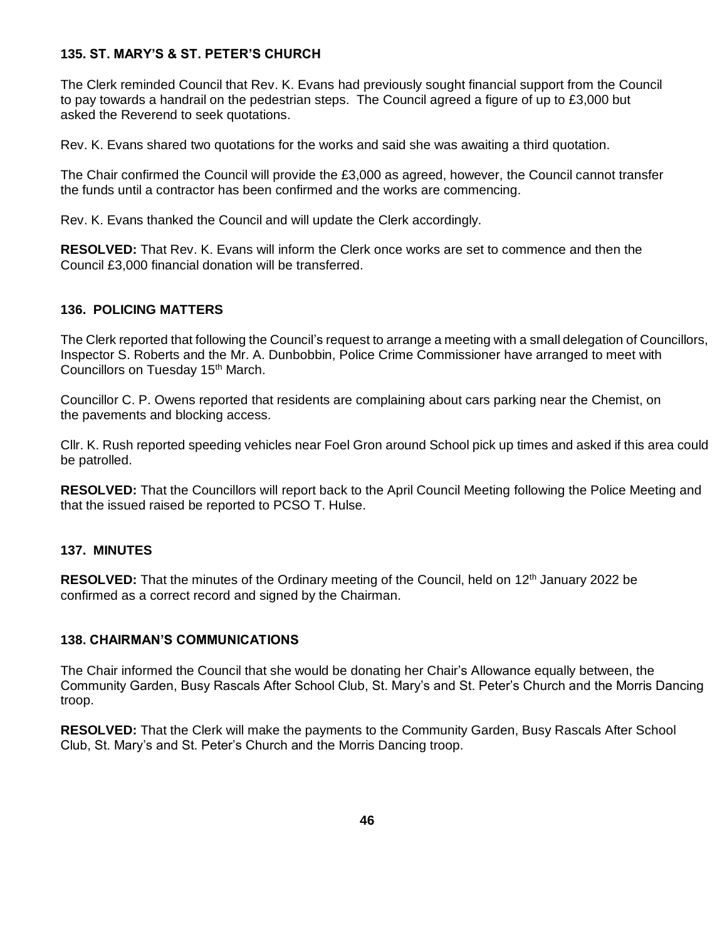## **135. ST. MARY'S & ST. PETER'S CHURCH**

The Clerk reminded Council that Rev. K. Evans had previously sought financial support from the Council to pay towards a handrail on the pedestrian steps. The Council agreed a figure of up to £3,000 but asked the Reverend to seek quotations.

Rev. K. Evans shared two quotations for the works and said she was awaiting a third quotation.

The Chair confirmed the Council will provide the £3,000 as agreed, however, the Council cannot transfer the funds until a contractor has been confirmed and the works are commencing.

Rev. K. Evans thanked the Council and will update the Clerk accordingly.

**RESOLVED:** That Rev. K. Evans will inform the Clerk once works are set to commence and then the Council £3,000 financial donation will be transferred.

#### **136. POLICING MATTERS**

The Clerk reported that following the Council's request to arrange a meeting with a small delegation of Councillors, Inspector S. Roberts and the Mr. A. Dunbobbin, Police Crime Commissioner have arranged to meet with Councillors on Tuesday 15th March.

Councillor C. P. Owens reported that residents are complaining about cars parking near the Chemist, on the pavements and blocking access.

Cllr. K. Rush reported speeding vehicles near Foel Gron around School pick up times and asked if this area could be patrolled.

**RESOLVED:** That the Councillors will report back to the April Council Meeting following the Police Meeting and that the issued raised be reported to PCSO T. Hulse.

#### **137. MINUTES**

RESOLVED: That the minutes of the Ordinary meeting of the Council, held on 12<sup>th</sup> January 2022 be confirmed as a correct record and signed by the Chairman.

#### **138. CHAIRMAN'S COMMUNICATIONS**

The Chair informed the Council that she would be donating her Chair's Allowance equally between, the Community Garden, Busy Rascals After School Club, St. Mary's and St. Peter's Church and the Morris Dancing troop.

**RESOLVED:** That the Clerk will make the payments to the Community Garden, Busy Rascals After School Club, St. Mary's and St. Peter's Church and the Morris Dancing troop.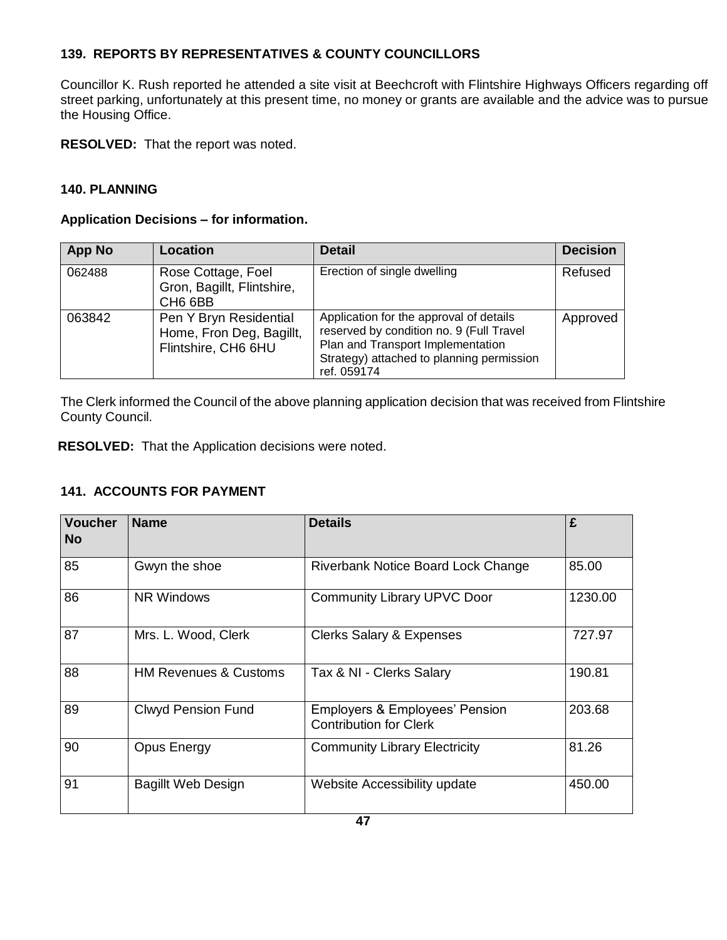## **139. REPORTS BY REPRESENTATIVES & COUNTY COUNCILLORS**

Councillor K. Rush reported he attended a site visit at Beechcroft with Flintshire Highways Officers regarding off street parking, unfortunately at this present time, no money or grants are available and the advice was to pursue the Housing Office.

**RESOLVED:** That the report was noted.

## **140. PLANNING**

#### **Application Decisions – for information.**

| <b>App No</b> | <b>Location</b>                                                           | <b>Detail</b>                                                                                                                                                                        | <b>Decision</b> |
|---------------|---------------------------------------------------------------------------|--------------------------------------------------------------------------------------------------------------------------------------------------------------------------------------|-----------------|
| 062488        | Rose Cottage, Foel<br>Gron, Bagillt, Flintshire,<br>CH <sub>6</sub> 6BB   | Erection of single dwelling                                                                                                                                                          | Refused         |
| 063842        | Pen Y Bryn Residential<br>Home, Fron Deg, Bagillt,<br>Flintshire, CH6 6HU | Application for the approval of details<br>reserved by condition no. 9 (Full Travel<br>Plan and Transport Implementation<br>Strategy) attached to planning permission<br>ref. 059174 | Approved        |

The Clerk informed the Council of the above planning application decision that was received from Flintshire County Council.

**RESOLVED:** That the Application decisions were noted.

## **141. ACCOUNTS FOR PAYMENT**

| <b>Voucher</b><br><b>No</b> | <b>Name</b>                      | <b>Details</b>                                                             | £       |
|-----------------------------|----------------------------------|----------------------------------------------------------------------------|---------|
| 85                          | Gwyn the shoe                    | Riverbank Notice Board Lock Change                                         | 85.00   |
| 86                          | <b>NR Windows</b>                | <b>Community Library UPVC Door</b>                                         | 1230.00 |
| 87                          | Mrs. L. Wood, Clerk              | <b>Clerks Salary &amp; Expenses</b>                                        | 727.97  |
| 88                          | <b>HM Revenues &amp; Customs</b> | Tax & NI - Clerks Salary                                                   | 190.81  |
| 89                          | <b>Clwyd Pension Fund</b>        | <b>Employers &amp; Employees' Pension</b><br><b>Contribution for Clerk</b> | 203.68  |
| 90                          | <b>Opus Energy</b>               | <b>Community Library Electricity</b>                                       | 81.26   |
| 91                          | <b>Bagillt Web Design</b>        | Website Accessibility update                                               | 450.00  |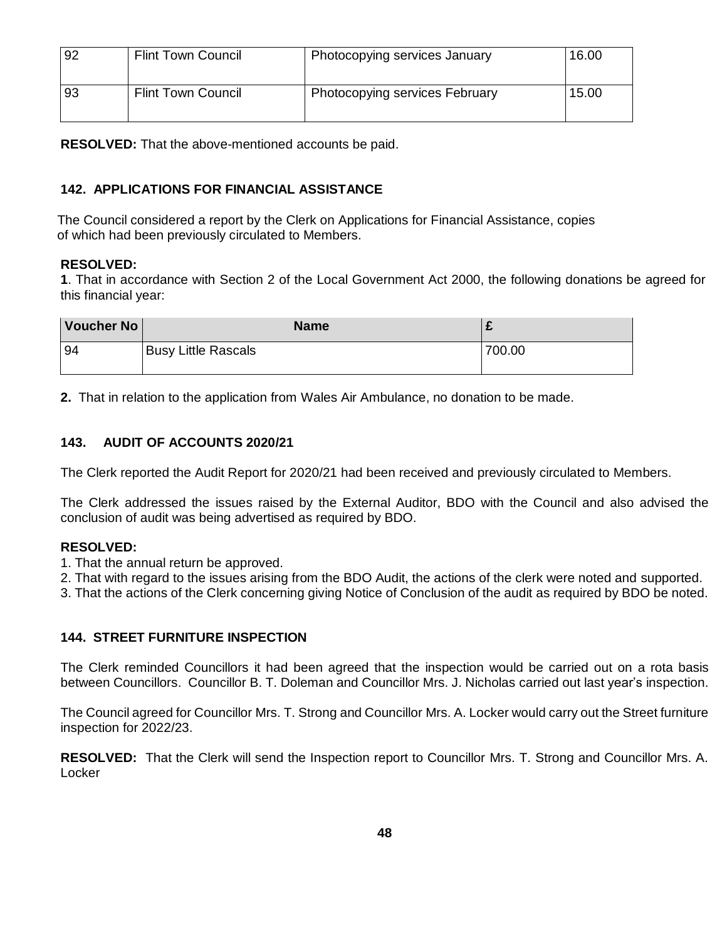| 92 | <b>Flint Town Council</b> | Photocopying services January  | 16.00 |
|----|---------------------------|--------------------------------|-------|
| 93 | <b>Flint Town Council</b> | Photocopying services February | 15.00 |

**RESOLVED:** That the above-mentioned accounts be paid.

## **142. APPLICATIONS FOR FINANCIAL ASSISTANCE**

 The Council considered a report by the Clerk on Applications for Financial Assistance, copies of which had been previously circulated to Members.

#### **RESOLVED:**

**1**. That in accordance with Section 2 of the Local Government Act 2000, the following donations be agreed for this financial year:

| Voucher No | <b>Name</b>                |        |
|------------|----------------------------|--------|
| 94         | <b>Busy Little Rascals</b> | 700.00 |

**2.** That in relation to the application from Wales Air Ambulance, no donation to be made.

## **143. AUDIT OF ACCOUNTS 2020/21**

The Clerk reported the Audit Report for 2020/21 had been received and previously circulated to Members.

The Clerk addressed the issues raised by the External Auditor, BDO with the Council and also advised the conclusion of audit was being advertised as required by BDO.

## **RESOLVED:**

- 1. That the annual return be approved.
- 2. That with regard to the issues arising from the BDO Audit, the actions of the clerk were noted and supported.
- 3. That the actions of the Clerk concerning giving Notice of Conclusion of the audit as required by BDO be noted.

## **144. STREET FURNITURE INSPECTION**

The Clerk reminded Councillors it had been agreed that the inspection would be carried out on a rota basis between Councillors. Councillor B. T. Doleman and Councillor Mrs. J. Nicholas carried out last year's inspection.

The Council agreed for Councillor Mrs. T. Strong and Councillor Mrs. A. Locker would carry out the Street furniture inspection for 2022/23.

**RESOLVED:** That the Clerk will send the Inspection report to Councillor Mrs. T. Strong and Councillor Mrs. A. **Locker**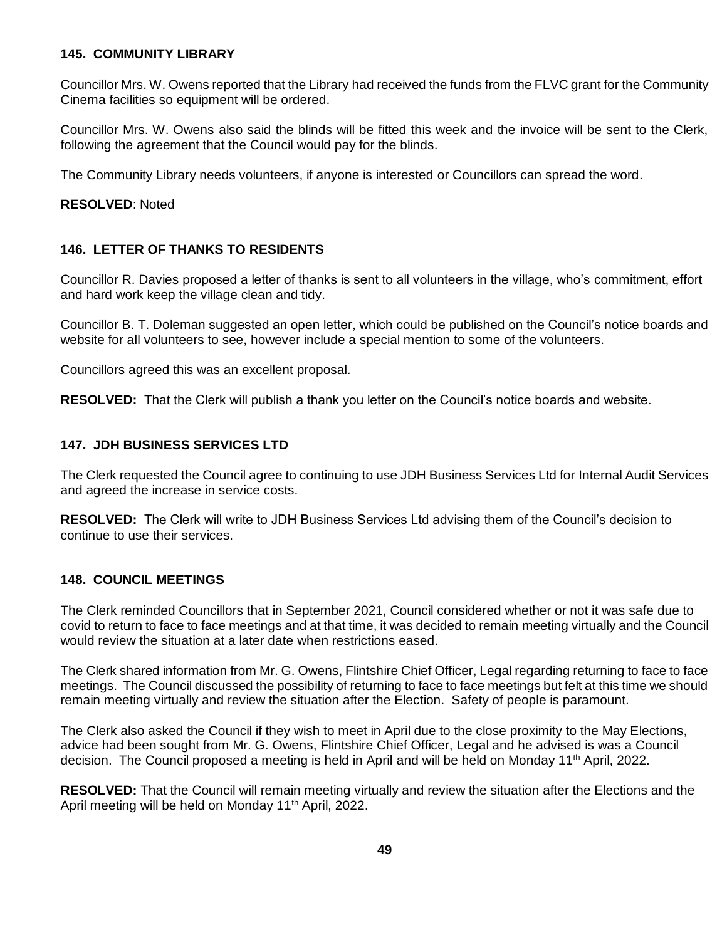#### **145. COMMUNITY LIBRARY**

Councillor Mrs. W. Owens reported that the Library had received the funds from the FLVC grant for the Community Cinema facilities so equipment will be ordered.

Councillor Mrs. W. Owens also said the blinds will be fitted this week and the invoice will be sent to the Clerk, following the agreement that the Council would pay for the blinds.

The Community Library needs volunteers, if anyone is interested or Councillors can spread the word.

**RESOLVED**: Noted

#### **146. LETTER OF THANKS TO RESIDENTS**

Councillor R. Davies proposed a letter of thanks is sent to all volunteers in the village, who's commitment, effort and hard work keep the village clean and tidy.

Councillor B. T. Doleman suggested an open letter, which could be published on the Council's notice boards and website for all volunteers to see, however include a special mention to some of the volunteers.

Councillors agreed this was an excellent proposal.

**RESOLVED:** That the Clerk will publish a thank you letter on the Council's notice boards and website.

#### **147. JDH BUSINESS SERVICES LTD**

The Clerk requested the Council agree to continuing to use JDH Business Services Ltd for Internal Audit Services and agreed the increase in service costs.

**RESOLVED:** The Clerk will write to JDH Business Services Ltd advising them of the Council's decision to continue to use their services.

#### **148. COUNCIL MEETINGS**

The Clerk reminded Councillors that in September 2021, Council considered whether or not it was safe due to covid to return to face to face meetings and at that time, it was decided to remain meeting virtually and the Council would review the situation at a later date when restrictions eased.

The Clerk shared information from Mr. G. Owens, Flintshire Chief Officer, Legal regarding returning to face to face meetings. The Council discussed the possibility of returning to face to face meetings but felt at this time we should remain meeting virtually and review the situation after the Election. Safety of people is paramount.

The Clerk also asked the Council if they wish to meet in April due to the close proximity to the May Elections, advice had been sought from Mr. G. Owens, Flintshire Chief Officer, Legal and he advised is was a Council decision. The Council proposed a meeting is held in April and will be held on Monday 11<sup>th</sup> April, 2022.

**RESOLVED:** That the Council will remain meeting virtually and review the situation after the Elections and the April meeting will be held on Monday 11<sup>th</sup> April, 2022.